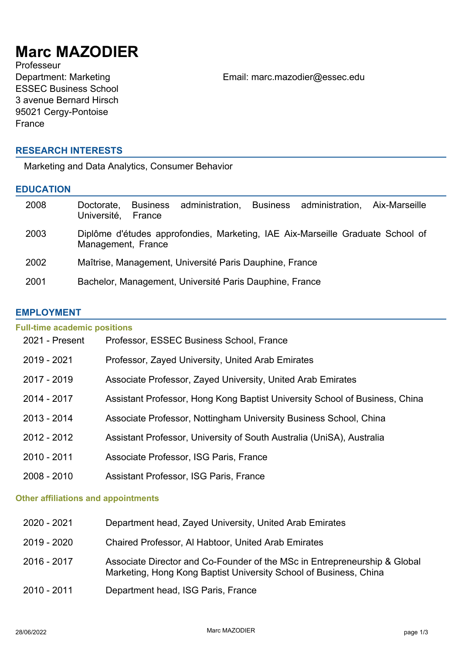# **Marc MAZODIER**

Professeur ESSEC Business School 3 avenue Bernard Hirsch 95021 Cergy-Pontoise France

Department: Marketing Email: marc.mazodier@essec.edu

# **RESEARCH INTERESTS**

Marketing and Data Analytics, Consumer Behavior

## **EDUCATION**

| 2008 | administration, Business administration,<br><b>Business</b><br>Aix-Marseille<br>Doctorate.<br>Université,<br>France |
|------|---------------------------------------------------------------------------------------------------------------------|
| 2003 | Diplôme d'études approfondies, Marketing, IAE Aix-Marseille Graduate School of<br>Management, France                |
| 2002 | Maîtrise, Management, Université Paris Dauphine, France                                                             |
| 2001 | Bachelor, Management, Université Paris Dauphine, France                                                             |

### **EMPLOYMENT**

| <b>Full-time academic positions</b> |                                                                             |  |
|-------------------------------------|-----------------------------------------------------------------------------|--|
| 2021 - Present                      | Professor, ESSEC Business School, France                                    |  |
| 2019 - 2021                         | Professor, Zayed University, United Arab Emirates                           |  |
| 2017 - 2019                         | Associate Professor, Zayed University, United Arab Emirates                 |  |
| 2014 - 2017                         | Assistant Professor, Hong Kong Baptist University School of Business, China |  |
| $2013 - 2014$                       | Associate Professor, Nottingham University Business School, China           |  |
| 2012 - 2012                         | Assistant Professor, University of South Australia (UniSA), Australia       |  |
| 2010 - 2011                         | Associate Professor, ISG Paris, France                                      |  |
| $2008 - 2010$                       | Assistant Professor, ISG Paris, France                                      |  |
|                                     |                                                                             |  |

## **Other affiliations and appointments**

| 2020 - 2021 | Department head, Zayed University, United Arab Emirates                                                                                        |
|-------------|------------------------------------------------------------------------------------------------------------------------------------------------|
| 2019 - 2020 | Chaired Professor, AI Habtoor, United Arab Emirates                                                                                            |
| 2016 - 2017 | Associate Director and Co-Founder of the MSc in Entrepreneurship & Global<br>Marketing, Hong Kong Baptist University School of Business, China |
| 2010 - 2011 | Department head, ISG Paris, France                                                                                                             |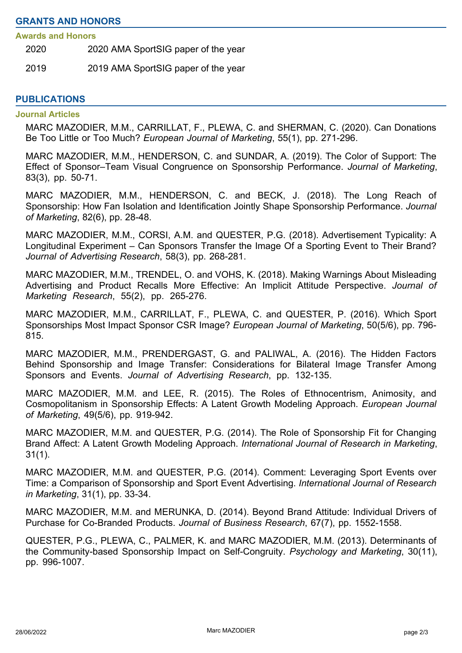#### **Awards and Honors**

2020 2020 AMA SportSIG paper of the year

2019 2019 AMA SportSIG paper of the year

#### **PUBLICATIONS**

#### **Journal Articles**

MARC MAZODIER, M.M., CARRILLAT, F., PLEWA, C. and SHERMAN, C. (2020). Can Donations Be Too Little or Too Much? *European Journal of Marketing*, 55(1), pp. 271-296.

MARC MAZODIER, M.M., HENDERSON, C. and SUNDAR, A. (2019). The Color of Support: The Effect of Sponsor–Team Visual Congruence on Sponsorship Performance. *Journal of Marketing*, 83(3), pp. 50-71.

MARC MAZODIER, M.M., HENDERSON, C. and BECK, J. (2018). The Long Reach of Sponsorship: How Fan Isolation and Identification Jointly Shape Sponsorship Performance. *Journal of Marketing*, 82(6), pp. 28-48.

MARC MAZODIER, M.M., CORSI, A.M. and QUESTER, P.G. (2018). Advertisement Typicality: A Longitudinal Experiment – Can Sponsors Transfer the Image Of a Sporting Event to Their Brand? *Journal of Advertising Research*, 58(3), pp. 268-281.

MARC MAZODIER, M.M., TRENDEL, O. and VOHS, K. (2018). Making Warnings About Misleading Advertising and Product Recalls More Effective: An Implicit Attitude Perspective. *Journal of Marketing Research*, 55(2), pp. 265-276.

MARC MAZODIER, M.M., CARRILLAT, F., PLEWA, C. and QUESTER, P. (2016). Which Sport Sponsorships Most Impact Sponsor CSR Image? *European Journal of Marketing*, 50(5/6), pp. 796- 815.

MARC MAZODIER, M.M., PRENDERGAST, G. and PALIWAL, A. (2016). The Hidden Factors Behind Sponsorship and Image Transfer: Considerations for Bilateral Image Transfer Among Sponsors and Events. *Journal of Advertising Research*, pp. 132-135.

MARC MAZODIER, M.M. and LEE, R. (2015). The Roles of Ethnocentrism, Animosity, and Cosmopolitanism in Sponsorship Effects: A Latent Growth Modeling Approach. *European Journal of Marketing*, 49(5/6), pp. 919-942.

MARC MAZODIER, M.M. and QUESTER, P.G. (2014). The Role of Sponsorship Fit for Changing Brand Affect: A Latent Growth Modeling Approach. *International Journal of Research in Marketing*, 31(1).

MARC MAZODIER, M.M. and QUESTER, P.G. (2014). Comment: Leveraging Sport Events over Time: a Comparison of Sponsorship and Sport Event Advertising. *International Journal of Research in Marketing*, 31(1), pp. 33-34.

MARC MAZODIER, M.M. and MERUNKA, D. (2014). Beyond Brand Attitude: Individual Drivers of Purchase for Co-Branded Products. *Journal of Business Research*, 67(7), pp. 1552-1558.

QUESTER, P.G., PLEWA, C., PALMER, K. and MARC MAZODIER, M.M. (2013). Determinants of the Community-based Sponsorship Impact on Self-Congruity. *Psychology and Marketing*, 30(11), pp. 996-1007.